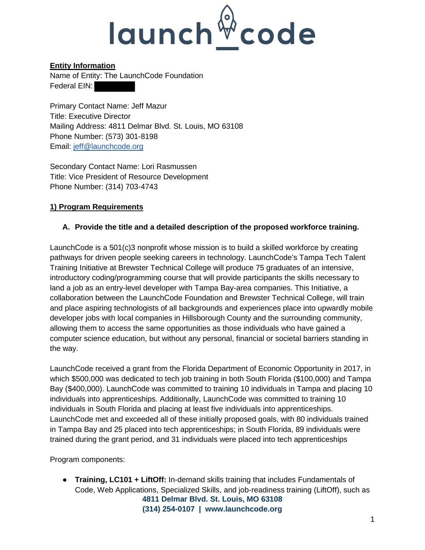

### **Entity Information**

Name of Entity: The LaunchCode Foundation Federal EIN:

Primary Contact Name: Jeff Mazur Title: Executive Director Mailing Address: 4811 Delmar Blvd. St. Louis, MO 63108 Phone Number: (573) 301-8198 Email: [jeff@launchcode.org](mailto:jeff@launchcode.org) 

Secondary Contact Name: Lori Rasmussen Title: Vice President of Resource Development Phone Number: (314) 703-4743

## **1) Program Requirements**

#### **A. Provide the title and a detailed description of the proposed workforce training.**

LaunchCode is a 501(c)3 nonprofit whose mission is to build a skilled workforce by creating pathways for driven people seeking careers in technology. LaunchCode's Tampa Tech Talent Training Initiative at Brewster Technical College will produce 75 graduates of an intensive, introductory coding/programming course that will provide participants the skills necessary to land a job as an entry-level developer with Tampa Bay-area companies. This Initiative, a collaboration between the LaunchCode Foundation and Brewster Technical College, will train and place aspiring technologists of all backgrounds and experiences place into upwardly mobile developer jobs with local companies in Hillsborough County and the surrounding community, allowing them to access the same opportunities as those individuals who have gained a computer science education, but without any personal, financial or societal barriers standing in the way.

LaunchCode received a grant from the Florida Department of Economic Opportunity in 2017, in which \$500,000 was dedicated to tech job training in both South Florida (\$100,000) and Tampa Bay (\$400,000). LaunchCode was committed to training 10 individuals in Tampa and placing 10 individuals into apprenticeships. Additionally, LaunchCode was committed to training 10 individuals in South Florida and placing at least five individuals into apprenticeships. LaunchCode met and exceeded all of these initially proposed goals, with 80 individuals trained in Tampa Bay and 25 placed into tech apprenticeships; in South Florida, 89 individuals were trained during the grant period, and 31 individuals were placed into tech apprenticeships

Program components:

**4811 Delmar Blvd. St. Louis, MO 63108** ● **Training, LC101 + LiftOff:** In-demand skills training that includes Fundamentals of Code, Web Applications, Specialized Skills, and job-readiness training (LiftOff), such as

**(314) 254-0107 | [www.launchcode.org](http://www.launchcode.org/)**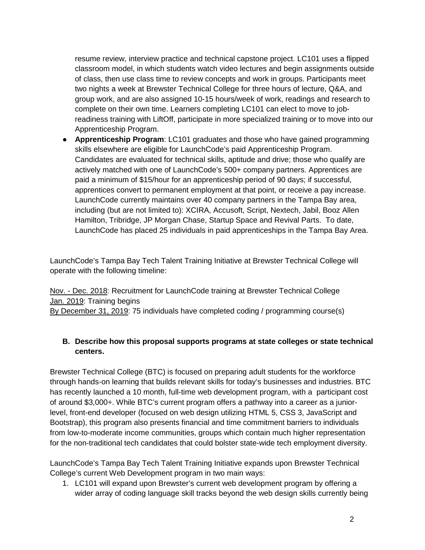resume review, interview practice and technical capstone project. LC101 uses a flipped classroom model, in which students watch video lectures and begin assignments outside of class, then use class time to review concepts and work in groups. Participants meet two nights a week at Brewster Technical College for three hours of lecture, Q&A, and group work, and are also assigned 10-15 hours/week of work, readings and research to complete on their own time. Learners completing LC101 can elect to move to jobreadiness training with LiftOff, participate in more specialized training or to move into our Apprenticeship Program.

● **Apprenticeship Program**: LC101 graduates and those who have gained programming skills elsewhere are eligible for LaunchCode's paid Apprenticeship Program. Candidates are evaluated for technical skills, aptitude and drive; those who qualify are actively matched with one of LaunchCode's 500+ company partners. Apprentices are paid a minimum of \$15/hour for an apprenticeship period of 90 days; if successful, apprentices convert to permanent employment at that point, or receive a pay increase. LaunchCode currently maintains over 40 company partners in the Tampa Bay area, including (but are not limited to): XCIRA, Accusoft, Script, Nextech, Jabil, Booz Allen Hamilton, Tribridge, JP Morgan Chase, Startup Space and Revival Parts. To date, LaunchCode has placed 25 individuals in paid apprenticeships in the Tampa Bay Area.

LaunchCode's Tampa Bay Tech Talent Training Initiative at Brewster Technical College will operate with the following timeline:

Nov. - Dec. 2018: Recruitment for LaunchCode training at Brewster Technical College Jan. 2019: Training begins By December 31, 2019: 75 individuals have completed coding / programming course(s)

#### **B. Describe how this proposal supports programs at state colleges or state technical centers.**

Brewster Technical College (BTC) is focused on preparing adult students for the workforce through hands-on learning that builds relevant skills for today's businesses and industries. BTC has recently launched a 10 month, full-time web development program, with a participant cost of around \$3,000+. While BTC's current program offers a pathway into a career as a juniorlevel, front-end developer (focused on web design utilizing HTML 5, CSS 3, JavaScript and Bootstrap), this program also presents financial and time commitment barriers to individuals from low-to-moderate income communities, groups which contain much higher representation for the non-traditional tech candidates that could bolster state-wide tech employment diversity.

LaunchCode's Tampa Bay Tech Talent Training Initiative expands upon Brewster Technical College's current Web Development program in two main ways:

1. LC101 will expand upon Brewster's current web development program by offering a wider array of coding language skill tracks beyond the web design skills currently being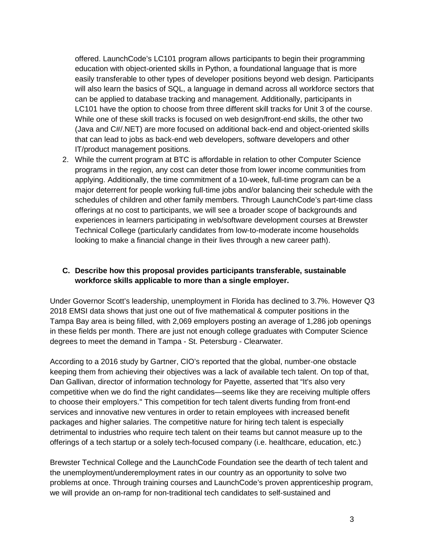offered. LaunchCode's LC101 program allows participants to begin their programming education with object-oriented skills in Python, a foundational language that is more easily transferable to other types of developer positions beyond web design. Participants will also learn the basics of SQL, a language in demand across all workforce sectors that can be applied to database tracking and management. Additionally, participants in LC101 have the option to choose from three different skill tracks for Unit 3 of the course. While one of these skill tracks is focused on web design/front-end skills, the other two (Java and C#/.NET) are more focused on additional back-end and object-oriented skills that can lead to jobs as back-end web developers, software developers and other IT/product management positions.

2. While the current program at BTC is affordable in relation to other Computer Science programs in the region, any cost can deter those from lower income communities from applying. Additionally, the time commitment of a 10-week, full-time program can be a major deterrent for people working full-time jobs and/or balancing their schedule with the schedules of children and other family members. Through LaunchCode's part-time class offerings at no cost to participants, we will see a broader scope of backgrounds and experiences in learners participating in web/software development courses at Brewster Technical College (particularly candidates from low-to-moderate income households looking to make a financial change in their lives through a new career path).

#### **C. Describe how this proposal provides participants transferable, sustainable workforce skills applicable to more than a single employer.**

Under Governor Scott's leadership, unemployment in Florida has declined to 3.7%. However Q3 2018 EMSI data shows that just one out of five mathematical & computer positions in the Tampa Bay area is being filled, with 2,069 employers posting an average of 1,286 job openings in these fields per month. There are just not enough college graduates with Computer Science degrees to meet the demand in Tampa - St. Petersburg - Clearwater.

According to a 2016 study by Gartner, CIO's reported that the global, number-one obstacle keeping them from achieving their objectives was a lack of available tech talent. On top of that, Dan Gallivan, director of information technology for Payette, asserted that "It's also very competitive when we do find the right candidates—seems like they are receiving multiple offers to choose their employers." This competition for tech talent diverts funding from front-end services and innovative new ventures in order to retain employees with increased benefit packages and higher salaries. The competitive nature for hiring tech talent is especially detrimental to industries who require tech talent on their teams but cannot measure up to the offerings of a tech startup or a solely tech-focused company (i.e. healthcare, education, etc.)

Brewster Technical College and the LaunchCode Foundation see the dearth of tech talent and the unemployment/underemployment rates in our country as an opportunity to solve two problems at once. Through training courses and LaunchCode's proven apprenticeship program, we will provide an on-ramp for non-traditional tech candidates to self-sustained and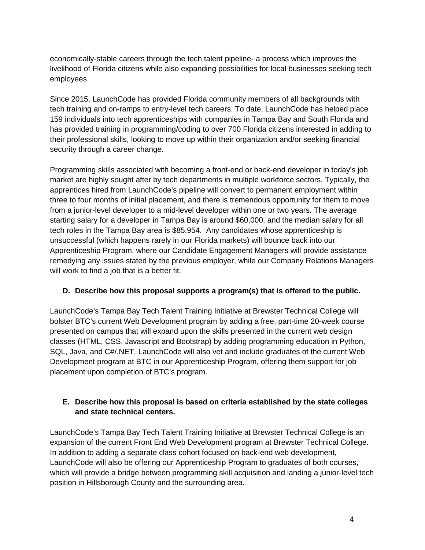economically-stable careers through the tech talent pipeline- a process which improves the livelihood of Florida citizens while also expanding possibilities for local businesses seeking tech employees.

Since 2015, LaunchCode has provided Florida community members of all backgrounds with tech training and on-ramps to entry-level tech careers. To date, LaunchCode has helped place 159 individuals into tech apprenticeships with companies in Tampa Bay and South Florida and has provided training in programming/coding to over 700 Florida citizens interested in adding to their professional skills, looking to move up within their organization and/or seeking financial security through a career change.

Programming skills associated with becoming a front-end or back-end developer in today's job market are highly sought after by tech departments in multiple workforce sectors. Typically, the apprentices hired from LaunchCode's pipeline will convert to permanent employment within three to four months of initial placement, and there is tremendous opportunity for them to move from a junior-level developer to a mid-level developer within one or two years. The average starting salary for a developer in Tampa Bay is around \$60,000, and the median salary for all tech roles in the Tampa Bay area is \$85,954. Any candidates whose apprenticeship is unsuccessful (which happens rarely in our Florida markets) will bounce back into our Apprenticeship Program, where our Candidate Engagement Managers will provide assistance remedying any issues stated by the previous employer, while our Company Relations Managers will work to find a job that is a better fit.

#### **D. Describe how this proposal supports a program(s) that is offered to the public.**

LaunchCode's Tampa Bay Tech Talent Training Initiative at Brewster Technical College will bolster BTC's current Web Development program by adding a free, part-time 20-week course presented on campus that will expand upon the skills presented in the current web design classes (HTML, CSS, Javascript and Bootstrap) by adding programming education in Python, SQL, Java, and C#/.NET. LaunchCode will also vet and include graduates of the current Web Development program at BTC in our Apprenticeship Program, offering them support for job placement upon completion of BTC's program.

#### **E. Describe how this proposal is based on criteria established by the state colleges and state technical centers.**

LaunchCode's Tampa Bay Tech Talent Training Initiative at Brewster Technical College is an expansion of the current Front End Web Development program at Brewster Technical College. In addition to adding a separate class cohort focused on back-end web development, LaunchCode will also be offering our Apprenticeship Program to graduates of both courses, which will provide a bridge between programming skill acquisition and landing a junior-level tech position in Hillsborough County and the surrounding area.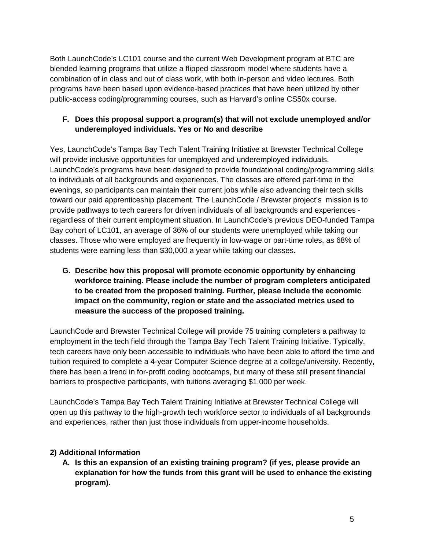Both LaunchCode's LC101 course and the current Web Development program at BTC are blended learning programs that utilize a flipped classroom model where students have a combination of in class and out of class work, with both in-person and video lectures. Both programs have been based upon evidence-based practices that have been utilized by other public-access coding/programming courses, such as Harvard's online CS50x course.

## **F. Does this proposal support a program(s) that will not exclude unemployed and/or underemployed individuals. Yes or No and describe**

Yes, LaunchCode's Tampa Bay Tech Talent Training Initiative at Brewster Technical College will provide inclusive opportunities for unemployed and underemployed individuals. LaunchCode's programs have been designed to provide foundational coding/programming skills to individuals of all backgrounds and experiences. The classes are offered part-time in the evenings, so participants can maintain their current jobs while also advancing their tech skills toward our paid apprenticeship placement. The LaunchCode / Brewster project's mission is to provide pathways to tech careers for driven individuals of all backgrounds and experiences regardless of their current employment situation. In LaunchCode's previous DEO-funded Tampa Bay cohort of LC101, an average of 36% of our students were unemployed while taking our classes. Those who were employed are frequently in low-wage or part-time roles, as 68% of students were earning less than \$30,000 a year while taking our classes.

**G. Describe how this proposal will promote economic opportunity by enhancing workforce training. Please include the number of program completers anticipated to be created from the proposed training. Further, please include the economic impact on the community, region or state and the associated metrics used to measure the success of the proposed training.** 

LaunchCode and Brewster Technical College will provide 75 training completers a pathway to employment in the tech field through the Tampa Bay Tech Talent Training Initiative. Typically, tech careers have only been accessible to individuals who have been able to afford the time and tuition required to complete a 4-year Computer Science degree at a college/university. Recently, there has been a trend in for-profit coding bootcamps, but many of these still present financial barriers to prospective participants, with tuitions averaging \$1,000 per week.

LaunchCode's Tampa Bay Tech Talent Training Initiative at Brewster Technical College will open up this pathway to the high-growth tech workforce sector to individuals of all backgrounds and experiences, rather than just those individuals from upper-income households.

#### **2) Additional Information**

**A. Is this an expansion of an existing training program? (if yes, please provide an explanation for how the funds from this grant will be used to enhance the existing program).**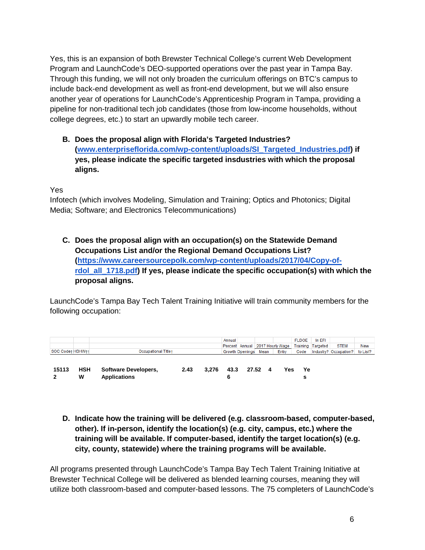Yes, this is an expansion of both Brewster Technical College's current Web Development Program and LaunchCode's DEO-supported operations over the past year in Tampa Bay. Through this funding, we will not only broaden the curriculum offerings on BTC's campus to include back-end development as well as front-end development, but we will also ensure another year of operations for LaunchCode's Apprenticeship Program in Tampa, providing a pipeline for non-traditional tech job candidates (those from low-income households, without college degrees, etc.) to start an upwardly mobile tech career.

**B. Does the proposal align with Florida's Targeted Industries? [\(www.enterpriseflorida.com/wp-content/uploads/SI\\_Targeted\\_Industries.pdf\)](http://www.enterpriseflorida.com/wp-content/uploads/SI_Targeted_Industries.pdf) if yes, please indicate the specific targeted insdustries with which the proposal aligns.**

Yes

Infotech (which involves Modeling, Simulation and Training; Optics and Photonics; Digital Media; Software; and Electronics Telecommunications)

**C. Does the proposal align with an occupation(s) on the Statewide Demand Occupations List and/or the Regional Demand Occupations List? [\(https://www.careersourcepolk.com/wp-content/uploads/2017/04/Copy-of](https://www.careersourcepolk.com/wp-content/uploads/2017/04/Copy-of-rdol_all_1718.pdf)**[rdol\\_all\\_1718.pdf\)](https://www.careersourcepolk.com/wp-content/uploads/2017/04/Copy-of-rdol_all_1718.pdf) If yes, please indicate the specific occupation(s) with which the **proposal aligns.**

LaunchCode's Tampa Bay Tech Talent Training Initiative will train community members for the following occupation:

|                  |                 |                                             |      |       | Annual |                 |      | Percent Annual 2017 Hourly Wage | <b>FLDOE</b> | In EFI<br><b>Training Targeted</b> | <b>STEM</b>           | <b>New</b> |
|------------------|-----------------|---------------------------------------------|------|-------|--------|-----------------|------|---------------------------------|--------------|------------------------------------|-----------------------|------------|
| SOC Codet HSHWtt |                 | <b>Occupational Titlet</b>                  |      |       |        | Growth Openings | Mean | Entry                           | Code         |                                    | Industry? Occupation? | to List?   |
|                  |                 |                                             |      |       |        |                 |      |                                 |              |                                    |                       |            |
| 15113            | <b>HSH</b><br>W | Software Developers,<br><b>Applications</b> | 2.43 | 3.276 | 43.3   | 27.52           | 4    | Yes                             | Ye<br>∍      |                                    |                       |            |

**D. Indicate how the training will be delivered (e.g. classroom-based, computer-based, other). If in-person, identify the location(s) (e.g. city, campus, etc.) where the training will be available. If computer-based, identify the target location(s) (e.g. city, county, statewide) where the training programs will be available.**

All programs presented through LaunchCode's Tampa Bay Tech Talent Training Initiative at Brewster Technical College will be delivered as blended learning courses, meaning they will utilize both classroom-based and computer-based lessons. The 75 completers of LaunchCode's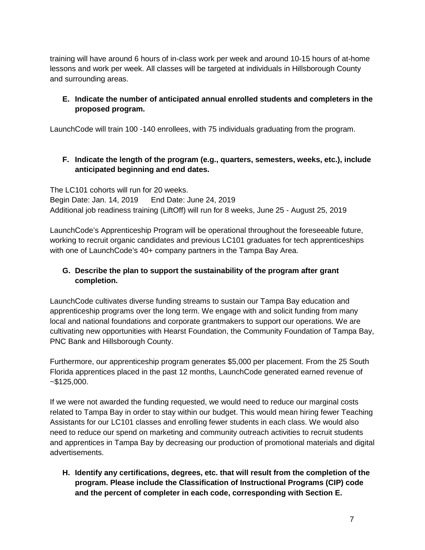training will have around 6 hours of in-class work per week and around 10-15 hours of at-home lessons and work per week. All classes will be targeted at individuals in Hillsborough County and surrounding areas.

## **E. Indicate the number of anticipated annual enrolled students and completers in the proposed program.**

LaunchCode will train 100 -140 enrollees, with 75 individuals graduating from the program.

## **F. Indicate the length of the program (e.g., quarters, semesters, weeks, etc.), include anticipated beginning and end dates.**

The LC101 cohorts will run for 20 weeks. Begin Date: Jan. 14, 2019 End Date: June 24, 2019 Additional job readiness training (LiftOff) will run for 8 weeks, June 25 - August 25, 2019

LaunchCode's Apprenticeship Program will be operational throughout the foreseeable future, working to recruit organic candidates and previous LC101 graduates for tech apprenticeships with one of LaunchCode's 40+ company partners in the Tampa Bay Area.

## **G. Describe the plan to support the sustainability of the program after grant completion.**

LaunchCode cultivates diverse funding streams to sustain our Tampa Bay education and apprenticeship programs over the long term. We engage with and solicit funding from many local and national foundations and corporate grantmakers to support our operations. We are cultivating new opportunities with Hearst Foundation, the Community Foundation of Tampa Bay, PNC Bank and Hillsborough County.

Furthermore, our apprenticeship program generates \$5,000 per placement. From the 25 South Florida apprentices placed in the past 12 months, LaunchCode generated earned revenue of  $~125,000.$ 

If we were not awarded the funding requested, we would need to reduce our marginal costs related to Tampa Bay in order to stay within our budget. This would mean hiring fewer Teaching Assistants for our LC101 classes and enrolling fewer students in each class. We would also need to reduce our spend on marketing and community outreach activities to recruit students and apprentices in Tampa Bay by decreasing our production of promotional materials and digital advertisements.

**H. Identify any certifications, degrees, etc. that will result from the completion of the program. Please include the Classification of Instructional Programs (CIP) code and the percent of completer in each code, corresponding with Section E.**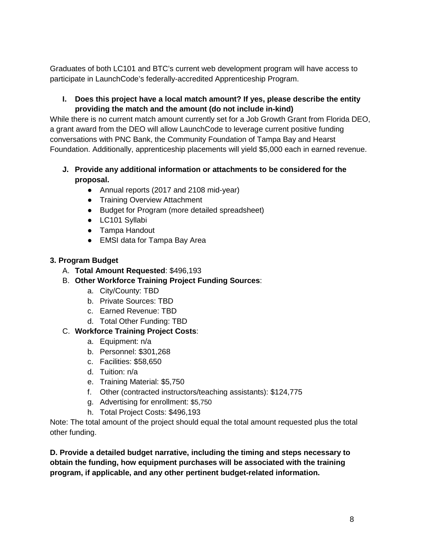Graduates of both LC101 and BTC's current web development program will have access to participate in LaunchCode's federally-accredited Apprenticeship Program.

### **I. Does this project have a local match amount? If yes, please describe the entity providing the match and the amount (do not include in-kind)**

While there is no current match amount currently set for a Job Growth Grant from Florida DEO, a grant award from the DEO will allow LaunchCode to leverage current positive funding conversations with PNC Bank, the Community Foundation of Tampa Bay and Hearst Foundation. Additionally, apprenticeship placements will yield \$5,000 each in earned revenue.

- **J. Provide any additional information or attachments to be considered for the proposal.**
	- Annual reports (2017 and 2108 mid-year)
	- **Training Overview Attachment**
	- Budget for Program (more detailed spreadsheet)
	- LC101 Syllabi
	- Tampa Handout
	- EMSI data for Tampa Bay Area

## **3. Program Budget**

- A. **Total Amount Requested**: \$496,193
- B. **Other Workforce Training Project Funding Sources**:
	- a. City/County: TBD
	- b. Private Sources: TBD
	- c. Earned Revenue: TBD
	- d. Total Other Funding: TBD

# C. **Workforce Training Project Costs**:

- a. Equipment: n/a
- b. Personnel: \$301,268
- c. Facilities: \$58,650
- d. Tuition: n/a
- e. Training Material: \$5,750
- f. Other (contracted instructors/teaching assistants): \$124,775
- g. Advertising for enrollment: \$5,750
- h. Total Project Costs: \$496,193

Note: The total amount of the project should equal the total amount requested plus the total other funding.

**D. Provide a detailed budget narrative, including the timing and steps necessary to obtain the funding, how equipment purchases will be associated with the training program, if applicable, and any other pertinent budget-related information.**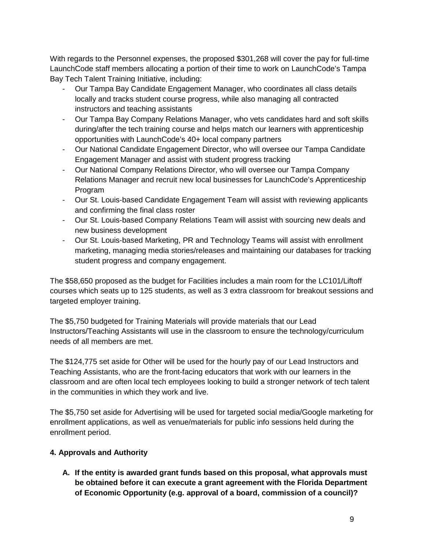With regards to the Personnel expenses, the proposed \$301,268 will cover the pay for full-time LaunchCode staff members allocating a portion of their time to work on LaunchCode's Tampa Bay Tech Talent Training Initiative, including:

- Our Tampa Bay Candidate Engagement Manager, who coordinates all class details locally and tracks student course progress, while also managing all contracted instructors and teaching assistants
- Our Tampa Bay Company Relations Manager, who vets candidates hard and soft skills during/after the tech training course and helps match our learners with apprenticeship opportunities with LaunchCode's 40+ local company partners
- Our National Candidate Engagement Director, who will oversee our Tampa Candidate Engagement Manager and assist with student progress tracking
- Our National Company Relations Director, who will oversee our Tampa Company Relations Manager and recruit new local businesses for LaunchCode's Apprenticeship Program
- Our St. Louis-based Candidate Engagement Team will assist with reviewing applicants and confirming the final class roster
- Our St. Louis-based Company Relations Team will assist with sourcing new deals and new business development
- Our St. Louis-based Marketing, PR and Technology Teams will assist with enrollment marketing, managing media stories/releases and maintaining our databases for tracking student progress and company engagement.

The \$58,650 proposed as the budget for Facilities includes a main room for the LC101/Liftoff courses which seats up to 125 students, as well as 3 extra classroom for breakout sessions and targeted employer training.

The \$5,750 budgeted for Training Materials will provide materials that our Lead Instructors/Teaching Assistants will use in the classroom to ensure the technology/curriculum needs of all members are met.

The \$124,775 set aside for Other will be used for the hourly pay of our Lead Instructors and Teaching Assistants, who are the front-facing educators that work with our learners in the classroom and are often local tech employees looking to build a stronger network of tech talent in the communities in which they work and live.

The \$5,750 set aside for Advertising will be used for targeted social media/Google marketing for enrollment applications, as well as venue/materials for public info sessions held during the enrollment period.

# **4. Approvals and Authority**

**A. If the entity is awarded grant funds based on this proposal, what approvals must be obtained before it can execute a grant agreement with the Florida Department of Economic Opportunity (e.g. approval of a board, commission of a council)?**